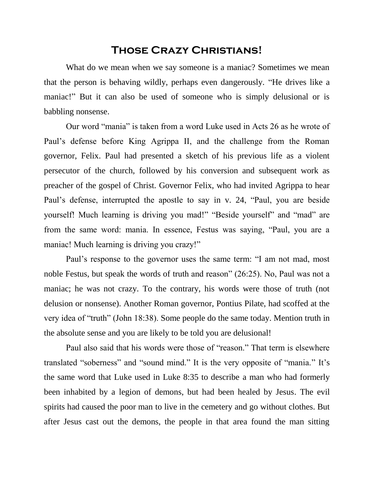## **Those Crazy Christians!**

What do we mean when we say someone is a maniac? Sometimes we mean that the person is behaving wildly, perhaps even dangerously. "He drives like a maniac!" But it can also be used of someone who is simply delusional or is babbling nonsense.

Our word "mania" is taken from a word Luke used in Acts 26 as he wrote of Paul's defense before King Agrippa II, and the challenge from the Roman governor, Felix. Paul had presented a sketch of his previous life as a violent persecutor of the church, followed by his conversion and subsequent work as preacher of the gospel of Christ. Governor Felix, who had invited Agrippa to hear Paul's defense, interrupted the apostle to say in v. 24, "Paul, you are beside yourself! Much learning is driving you mad!" "Beside yourself" and "mad" are from the same word: mania. In essence, Festus was saying, "Paul, you are a maniac! Much learning is driving you crazy!"

Paul's response to the governor uses the same term: "I am not mad, most noble Festus, but speak the words of truth and reason" (26:25). No, Paul was not a maniac; he was not crazy. To the contrary, his words were those of truth (not delusion or nonsense). Another Roman governor, Pontius Pilate, had scoffed at the very idea of "truth" (John 18:38). Some people do the same today. Mention truth in the absolute sense and you are likely to be told you are delusional!

Paul also said that his words were those of "reason." That term is elsewhere translated "soberness" and "sound mind." It is the very opposite of "mania." It's the same word that Luke used in Luke 8:35 to describe a man who had formerly been inhabited by a legion of demons, but had been healed by Jesus. The evil spirits had caused the poor man to live in the cemetery and go without clothes. But after Jesus cast out the demons, the people in that area found the man sitting